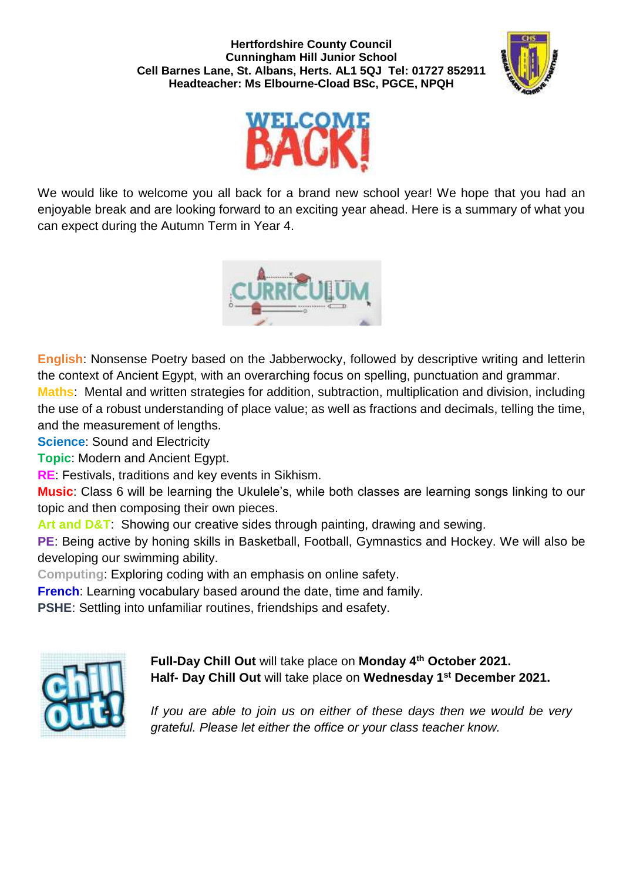



We would like to welcome you all back for a brand new school year! We hope that you had an enjoyable break and are looking forward to an exciting year ahead. Here is a summary of what you can expect during the Autumn Term in Year 4.



**English**: Nonsense Poetry based on the Jabberwocky, followed by descriptive writing and letterin the context of Ancient Egypt, with an overarching focus on spelling, punctuation and grammar. **Maths**: Mental and written strategies for addition, subtraction, multiplication and division, including the use of a robust understanding of place value; as well as fractions and decimals, telling the time, and the measurement of lengths.

**Science:** Sound and Electricity

**Topic**: Modern and Ancient Egypt.

**RE**: Festivals, traditions and key events in Sikhism.

**Music**: Class 6 will be learning the Ukulele's, while both classes are learning songs linking to our topic and then composing their own pieces.

**Art and D&T**: Showing our creative sides through painting, drawing and sewing.

**PE**: Being active by honing skills in Basketball, Football, Gymnastics and Hockey. We will also be developing our swimming ability.

**Computing**: Exploring coding with an emphasis on online safety.

**French**: Learning vocabulary based around the date, time and family.

**PSHE**: Settling into unfamiliar routines, friendships and esafety.



**Full-Day Chill Out** will take place on **Monday 4th October 2021. Half- Day Chill Out** will take place on **Wednesday 1 st December 2021.**

*If you are able to join us on either of these days then we would be very grateful. Please let either the office or your class teacher know.*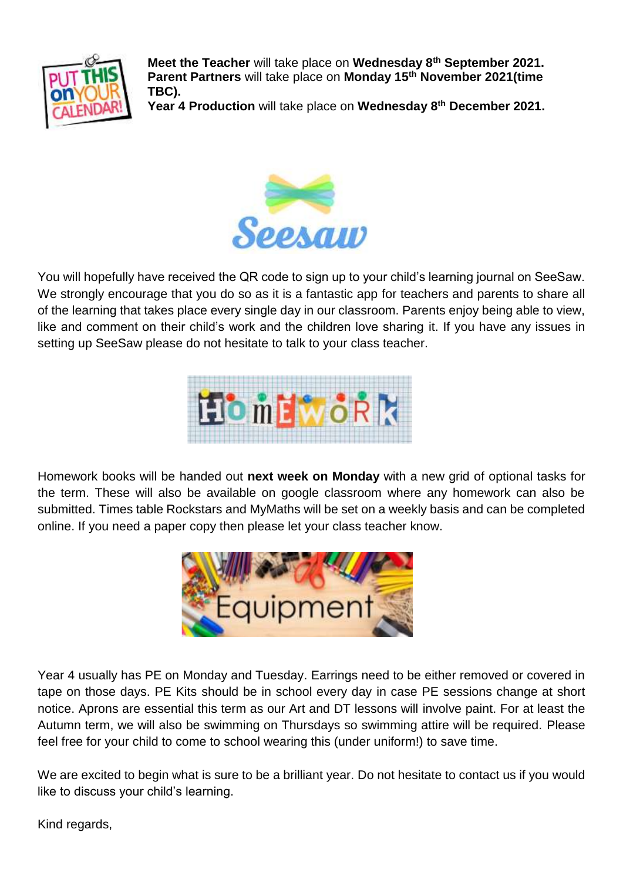

**Meet the Teacher** will take place on **Wednesday 8th September 2021. Parent Partners** will take place on **Monday 15th November 2021(time TBC).**

**Year 4 Production** will take place on **Wednesday 8th December 2021.** 



You will hopefully have received the QR code to sign up to your child's learning journal on SeeSaw. We strongly encourage that you do so as it is a fantastic app for teachers and parents to share all of the learning that takes place every single day in our classroom. Parents enjoy being able to view, like and comment on their child's work and the children love sharing it. If you have any issues in setting up SeeSaw please do not hesitate to talk to your class teacher.



Homework books will be handed out **next week on Monday** with a new grid of optional tasks for the term. These will also be available on google classroom where any homework can also be submitted. Times table Rockstars and MyMaths will be set on a weekly basis and can be completed online. If you need a paper copy then please let your class teacher know.



Year 4 usually has PE on Monday and Tuesday. Earrings need to be either removed or covered in tape on those days. PE Kits should be in school every day in case PE sessions change at short notice. Aprons are essential this term as our Art and DT lessons will involve paint. For at least the Autumn term, we will also be swimming on Thursdays so swimming attire will be required. Please feel free for your child to come to school wearing this (under uniform!) to save time.

We are excited to begin what is sure to be a brilliant year. Do not hesitate to contact us if you would like to discuss your child's learning.

Kind regards,